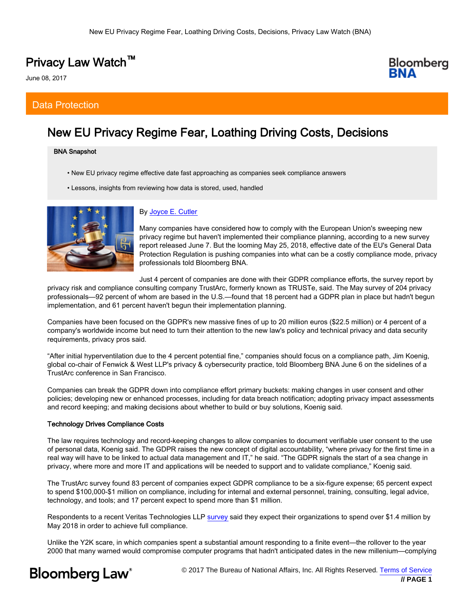# Privacy Law Watch™

June 08, 2017

# Data Protection

# New EU Privacy Regime Fear, Loathing Driving Costs, Decisions

### BNA Snapshot

- New EU privacy regime effective date fast approaching as companies seek compliance answers
- Lessons, insights from reviewing how data is stored, used, handled



# By [Joyce E. Cutler](mailto:JCutler@bna.com)

Many companies have considered how to comply with the European Union's sweeping new privacy regime but haven't implemented their compliance planning, according to a new survey report released June 7. But the looming May 25, 2018, effective date of the EU's General Data Protection Regulation is pushing companies into what can be a costly compliance mode, privacy professionals told Bloomberg BNA.

Just 4 percent of companies are done with their GDPR compliance efforts, the survey report by

privacy risk and compliance consulting company TrustArc, formerly known as TRUSTe, said. The May survey of 204 privacy professionals—92 percent of whom are based in the U.S.—found that 18 percent had a GDPR plan in place but hadn't begun implementation, and 61 percent haven't begun their implementation planning.

Companies have been focused on the GDPR's new massive fines of up to 20 million euros (\$22.5 million) or 4 percent of a company's worldwide income but need to turn their attention to the new law's policy and technical privacy and data security requirements, privacy pros said.

"After initial hyperventilation due to the 4 percent potential fine," companies should focus on a compliance path, Jim Koenig, global co-chair of Fenwick & West LLP's privacy & cybersecurity practice, told Bloomberg BNA June 6 on the sidelines of a TrustArc conference in San Francisco.

Companies can break the GDPR down into compliance effort primary buckets: making changes in user consent and other policies; developing new or enhanced processes, including for data breach notification; adopting privacy impact assessments and record keeping; and making decisions about whether to build or buy solutions, Koenig said.

### Technology Drives Compliance Costs

The law requires technology and record-keeping changes to allow companies to document verifiable user consent to the use of personal data, Koenig said. The GDPR raises the new concept of digital accountability, "where privacy for the first time in a real way will have to be linked to actual data management and IT," he said. "The GDPR signals the start of a sea change in privacy, where more and more IT and applications will be needed to support and to validate compliance," Koenig said.

The TrustArc survey found 83 percent of companies expect GDPR compliance to be a six-figure expense; 65 percent expect to spend \$100,000-\$1 million on compliance, including for internal and external personnel, training, consulting, legal advice, technology, and tools; and 17 percent expect to spend more than \$1 million.

Respondents to a recent Veritas Technologies LLP [survey](https://www.veritas.com/content/dam/Veritas/docs/reports/gdpr-report-en.pdf) said they expect their organizations to spend over \$1.4 million by May 2018 in order to achieve full compliance.

Unlike the Y2K scare, in which companies spent a substantial amount responding to a finite event—the rollover to the year 2000 that many warned would compromise computer programs that hadn't anticipated dates in the new millenium—complying